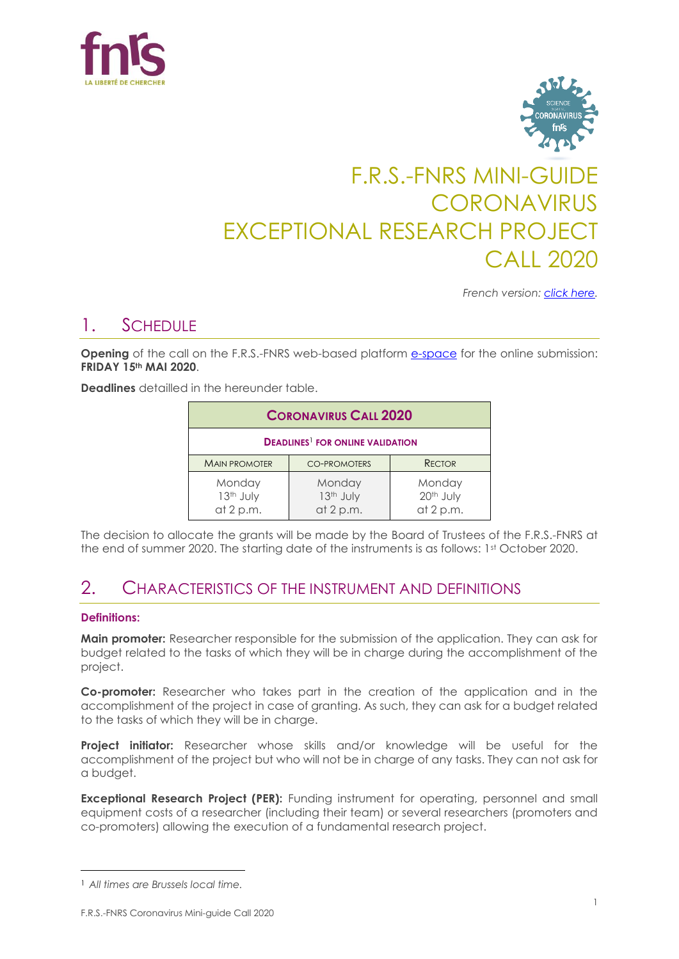



# F.R.S.-FNRS MINI-GUIDE CORONAVIRUS EXCEPTIONAL RESEARCH PROJECT CALL 2020

*French version: [click here.](https://www.frs-fnrs.be/docs/Reglement-et-documents/FRS-FNRS_MiniGuide_2020_PER_FR.pdf)*

### 1. SCHEDULE

**Opening** of the call on the F.R.S.-FNRS web-based platform [e-space](https://e-space.frs-fnrs.be/) for the online submission: **FRIDAY 15th MAI 2020**.

**Deadlines** detailled in the hereunder table.

| <b>CORONAVIRUS CALL 2020</b>                       |                                    |                                    |  |  |  |
|----------------------------------------------------|------------------------------------|------------------------------------|--|--|--|
| <b>DEADLINES<sup>1</sup> FOR ONLINE VALIDATION</b> |                                    |                                    |  |  |  |
| <b>MAIN PROMOTER</b>                               | <b>CO-PROMOTERS</b>                | <b>RECTOR</b>                      |  |  |  |
| Monday<br>13th July<br>at 2 p.m.                   | Monday<br>13th July<br>at $2 p.m.$ | Monday<br>20th July<br>at $2 p.m.$ |  |  |  |

The decision to allocate the grants will be made by the Board of Trustees of the F.R.S.-FNRS at the end of summer 2020. The starting date of the instruments is as follows: 1<sup>st</sup> October 2020.

### 2. CHARACTERISTICS OF THE INSTRUMENT AND DEFINITIONS

#### **Definitions:**

 $\overline{\phantom{a}}$ 

**Main promoter:** Researcher responsible for the submission of the application. They can ask for budget related to the tasks of which they will be in charge during the accomplishment of the project.

**Co-promoter:** Researcher who takes part in the creation of the application and in the accomplishment of the project in case of granting. As such, they can ask for a budget related to the tasks of which they will be in charge.

**Project initiator:** Researcher whose skills and/or knowledge will be useful for the accomplishment of the project but who will not be in charge of any tasks. They can not ask for a budget.

**Exceptional Research Project (PER):** Funding instrument for operating, personnel and small equipment costs of a researcher (including their team) or several researchers (promoters and co-promoters) allowing the execution of a fundamental research project.

<sup>1</sup> *All times are Brussels local time.*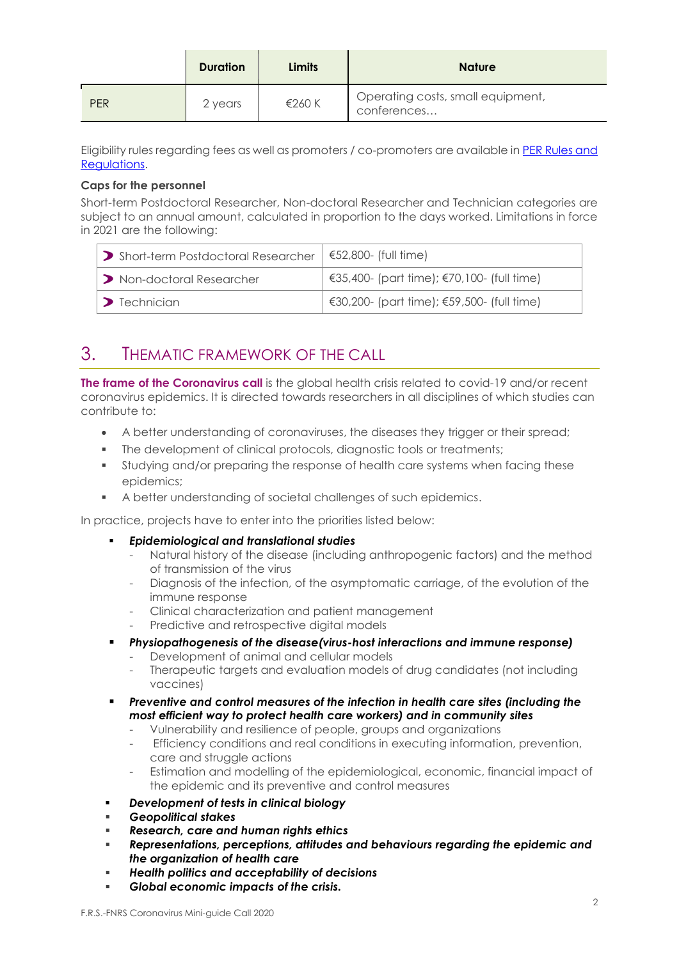|            | <b>Duration</b> | Limits | <b>Nature</b>                                    |
|------------|-----------------|--------|--------------------------------------------------|
| <b>PER</b> | 2 years         | €260 K | Operating costs, small equipment,<br>conferences |

Eligibility rules regarding fees as well as promoters / co-promoters are available in [PER Rules and](https://www.frs-fnrs.be/docs/Reglement-et-documents/FRS-FNRS_REGL_PER_2020_EN.pdf)  [Regulations.](https://www.frs-fnrs.be/docs/Reglement-et-documents/FRS-FNRS_REGL_PER_2020_EN.pdf)

#### **Caps for the personnel**

Short-term Postdoctoral Researcher, Non-doctoral Researcher and Technician categories are subject to an annual amount, calculated in proportion to the days worked. Limitations in force in 2021 are the following:

| > Short-term Postdoctoral Researcher | $\leq 52,800$ - (full time)                      |
|--------------------------------------|--------------------------------------------------|
| Non-doctoral Researcher              | $\in$ €35,400- (part time); €70,100- (full time) |
| $\sum$ Technician                    | €30,200- (part time); €59,500- (full time)       |

# 3. THEMATIC FRAMEWORK OF THE CALL

**The frame of the Coronavirus call** is the global health crisis related to covid-19 and/or recent coronavirus epidemics. It is directed towards researchers in all disciplines of which studies can contribute to:

- A better understanding of coronaviruses, the diseases they trigger or their spread;
- The development of clinical protocols, diagnostic tools or treatments;
- Studying and/or preparing the response of health care systems when facing these epidemics;
- A better understanding of societal challenges of such epidemics.

In practice, projects have to enter into the priorities listed below:

- *Epidemiological and translational studies*
	- Natural history of the disease (including anthropogenic factors) and the method of transmission of the virus
	- Diagnosis of the infection, of the asymptomatic carriage, of the evolution of the immune response
	- Clinical characterization and patient management
	- Predictive and retrospective digital models
- *Physiopathogenesis of the disease(virus-host interactions and immune response)*
	- Development of animal and cellular models
	- Therapeutic targets and evaluation models of drug candidates (not including vaccines)
- *Preventive and control measures of the infection in health care sites (including the most efficient way to protect health care workers) and in community sites*
	- Vulnerability and resilience of people, groups and organizations
	- Efficiency conditions and real conditions in executing information, prevention, care and struggle actions
	- Estimation and modelling of the epidemiological, economic, financial impact of the epidemic and its preventive and control measures
- *Development of tests in clinical biology*
- *Geopolitical stakes*
- *Research, care and human rights ethics*
- *Representations, perceptions, attitudes and behaviours regarding the epidemic and the organization of health care*
- *Health politics and acceptability of decisions*
- *Global economic impacts of the crisis.*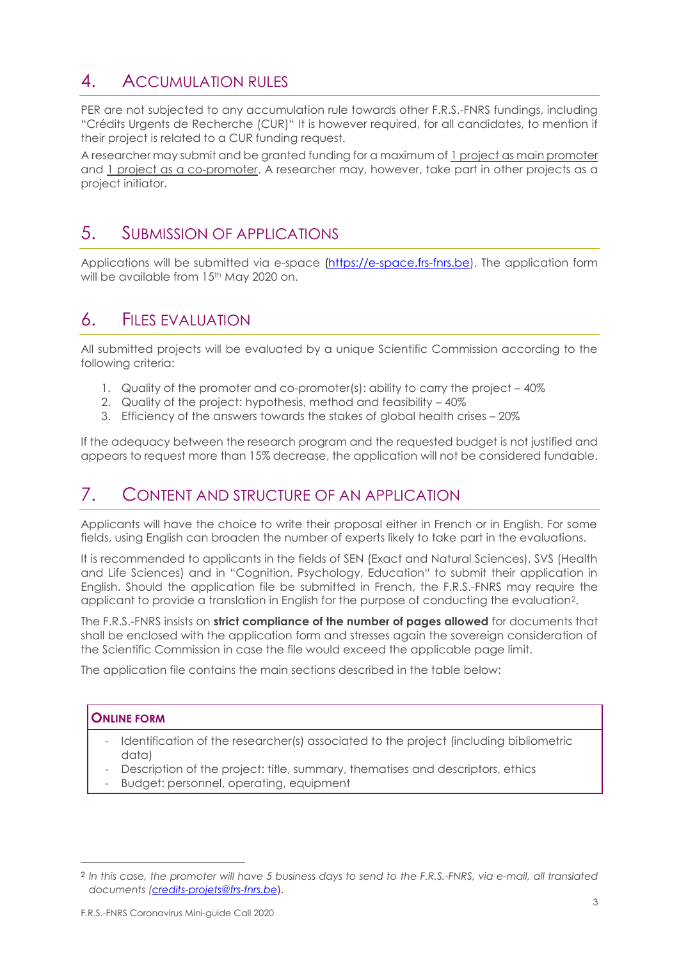# 4. ACCUMULATION RULES

PER are not subjected to any accumulation rule towards other F.R.S.-FNRS fundings, including "Crédits Urgents de Recherche (CUR)" It is however required, for all candidates, to mention if their project is related to a CUR funding request.

A researcher may submit and be granted funding for a maximum of 1 project as main promoter and 1 project as a co-promoter. A researcher may, however, take part in other projects as a project initiator.

### 5. SUBMISSION OF APPLICATIONS

Applications will be submitted via e-space [\(https://e-space.frs-fnrs.be\)](https://e-space.frs-fnrs.be/). The application form will be available from 15<sup>th</sup> May 2020 on.

### 6. FILES EVALUATION

All submitted projects will be evaluated by a unique Scientific Commission according to the following criteria:

- 1. Quality of the promoter and co-promoter(s): ability to carry the project 40%
- 2. Quality of the project: hypothesis, method and feasibility 40%
- 3. Efficiency of the answers towards the stakes of global health crises 20%

If the adequacy between the research program and the requested budget is not justified and appears to request more than 15% decrease, the application will not be considered fundable.

### 7. CONTENT AND STRUCTURE OF AN APPLICATION

Applicants will have the choice to write their proposal either in French or in English. For some fields, using English can broaden the number of experts likely to take part in the evaluations.

It is recommended to applicants in the fields of SEN (Exact and Natural Sciences), SVS (Health and Life Sciences) and in "Cognition, Psychology, Education" to submit their application in English. Should the application file be submitted in French, the F.R.S.-FNRS may require the applicant to provide a translation in English for the purpose of conducting the evaluation2.

The F.R.S.-FNRS insists on **strict compliance of the number of pages allowed** for documents that shall be enclosed with the application form and stresses again the sovereign consideration of the Scientific Commission in case the file would exceed the applicable page limit.

The application file contains the main sections described in the table below:

### **ONLINE FORM**

 $\overline{a}$ 

- Identification of the researcher(s) associated to the project (including bibliometric data)
- Description of the project: title, summary, thematises and descriptors, ethics
- Budget: personnel, operating, equipment

<sup>2</sup> *In this case, the promoter will have 5 business days to send to the F.R.S.-FNRS, via e-mail, all translated documents [\(credits-projets@frs-fnrs.be](mailto:credits-projets@frs-fnrs.be)*).